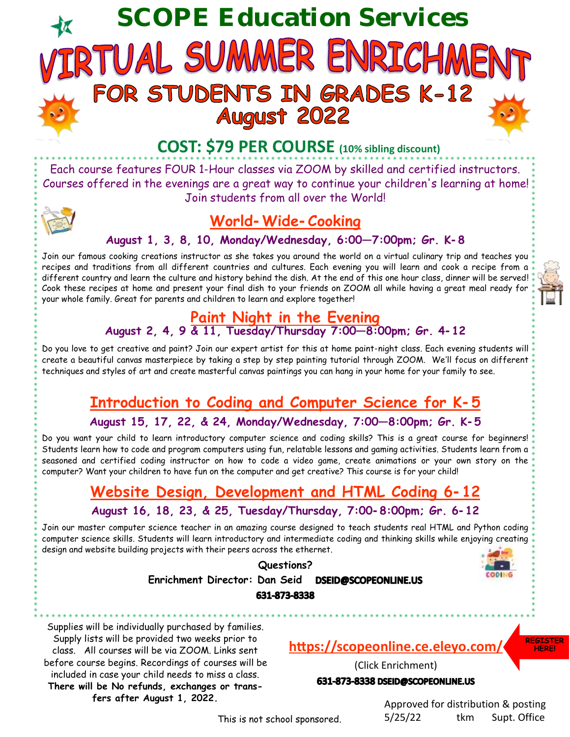# **SCOPE Education Services** RTUAL SUMMER ENRICHMEN FOR STUDENTS IN GRADES K-12<br>August 2022



Each course features FOUR 1-Hour classes via ZOOM by skilled and certified instructors. Courses offered in the evenings are a great way to continue your children's learning at home! Join students from all over the World!



## **World-Wide-Cooking**

#### **August 1, 3, 8, 10, Monday/Wednesday, 6:00—7:00pm; Gr. K-8**

Join our famous cooking creations instructor as she takes you around the world on a virtual culinary trip and teaches you recipes and traditions from all different countries and cultures. Each evening you will learn and cook a recipe from a different country and learn the culture and history behind the dish. At the end of this one hour class, dinner will be served! Cook these recipes at home and present your final dish to your friends on ZOOM all while having a great meal ready for your whole family. Great for parents and children to learn and explore together!

#### **Paint Night in the Evening August 2, 4, 9 & 11, Tuesday/Thursday 7:00—8:00pm; Gr. 4-12**

Do you love to get creative and paint? Join our expert artist for this at home paint-night class. Each evening students will create a beautiful canvas masterpiece by taking a step by step painting tutorial through ZOOM. We'll focus on different techniques and styles of art and create masterful canvas paintings you can hang in your home for your family to see.

## **Introduction to Coding and Computer Science for K-5**

**August 15, 17, 22, & 24, Monday/Wednesday, 7:00—8:00pm; Gr. K-5**

Do you want your child to learn introductory computer science and coding skills? This is a great course for beginners! Students learn how to code and program computers using fun, relatable lessons and gaming activities. Students learn from a seasoned and certified coding instructor on how to code a video game, create animations or your own story on the computer? Want your children to have fun on the computer and get creative? This course is for your child!

## **Website Design, Development and HTML Coding 6-12 August 16, 18, 23, & 25, Tuesday/Thursday, 7:00-8:00pm; Gr. 6-12**

Join our master computer science teacher in an amazing course designed to teach students real HTML and Python coding computer science skills. Students will learn introductory and intermediate coding and thinking skills while enjoying creating design and website building projects with their peers across the ethernet.

**Questions?**



**Enrichment Director: Dan Seid**  DSEID@SCOPEONLINE.US 631-873-8338

Supplies will be individually purchased by families. Supply lists will be provided two weeks prior to class. All courses will be via ZOOM. Links sent before course begins. Recordings of courses will be included in case your child needs to miss a class. **There will be No refunds, exchanges or transfers after August 1, 2022.**

#### **<https://scopeonline.ce.eleyo.com/>**

(Click Enrichment) 631-873-8338 DSEID@SCOPEONLINE.US

> Approved for distribution & posting 5/25/22 tkm Supt. Office



This is not school sponsored.